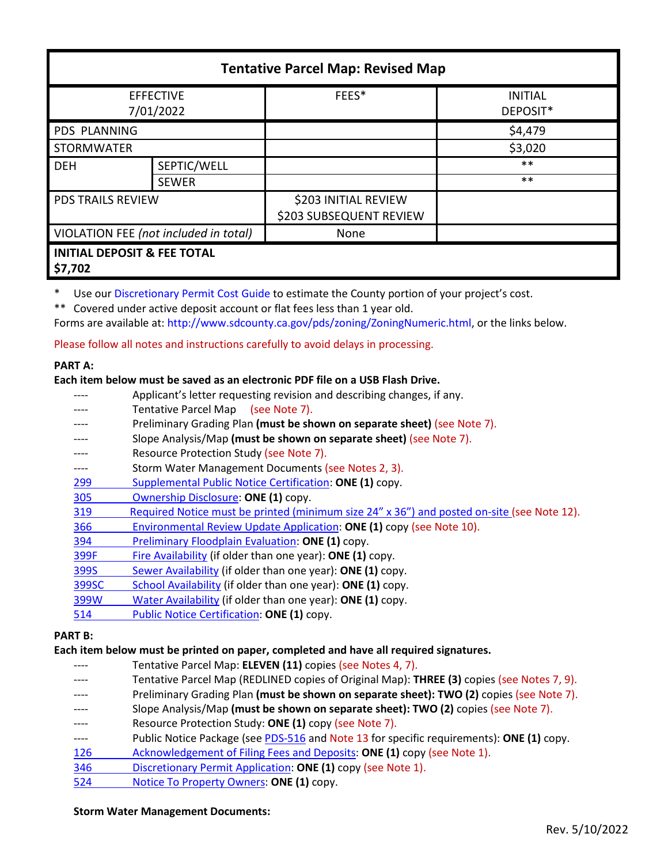| <b>Tentative Parcel Map: Revised Map</b>          |              |                                                 |                            |  |
|---------------------------------------------------|--------------|-------------------------------------------------|----------------------------|--|
| <b>EFFECTIVE</b><br>7/01/2022                     |              | FEES*                                           | <b>INITIAL</b><br>DEPOSIT* |  |
| PDS PLANNING                                      |              |                                                 | \$4,479                    |  |
| <b>STORMWATER</b>                                 |              |                                                 | \$3,020                    |  |
| <b>DEH</b>                                        | SEPTIC/WELL  |                                                 | $***$                      |  |
|                                                   | <b>SEWER</b> |                                                 | $***$                      |  |
| <b>PDS TRAILS REVIEW</b>                          |              | \$203 INITIAL REVIEW<br>\$203 SUBSEQUENT REVIEW |                            |  |
| VIOLATION FEE (not included in total)             |              | None                                            |                            |  |
| <b>INITIAL DEPOSIT &amp; FEE TOTAL</b><br>\$7,702 |              |                                                 |                            |  |

Use ou[r Discretionary Permit Cost Guide](http://www.sandiegocounty.gov/content/dam/sdc/pds/docs/Discretionary_Permit_Cost_Guide.xlsx) to estimate the County portion of your project's cost.

\*\* Covered under active deposit account or flat fees less than 1 year old.

Forms are available at: [http://www.sdcounty.ca.gov/pds/zoning/ZoningNumeric.html,](http://www.sdcounty.ca.gov/pds/zoning/ZoningNumeric.html) or the links below.

Please follow all notes and instructions carefully to avoid delays in processing.

# **PART A:**

## **Each item below must be saved as an electronic PDF file on a USB Flash Drive.**

- ---- Applicant's letter requesting revision and describing changes, if any.
- Tentative Parcel Map (see Note 7).
- Preliminary Grading Plan (must be shown on separate sheet) (see Note 7).
- ---- Slope Analysis/Map **(must be shown on separate sheet)** (see Note 7).
- ---- Resource Protection Study (see Note 7).
- ---- Storm Water Management Documents (see Notes 2, 3).
- [299 Supplemental Public Notice Certification:](http://www.sdcounty.ca.gov/pds/zoning/formfields/PDS-PLN-299.pdf) **ONE (1)** copy.
- [305 Ownership Disclosure:](http://www.sdcounty.ca.gov/pds/zoning/formfields/PDS-PLN-305.pdf) **ONE (1)** copy.
- [319 Required Notice must be printed \(minimum size 24" x 36"\) and posted on-site](https://www.sandiegocounty.gov/content/dam/sdc/pds/zoning/formfields/PDS-PLN-319.pdf) (see Note 12).
- 366 Environmental [Review Update Application:](http://www.sdcounty.ca.gov/pds/zoning/formfields/PDS-PLN-366.pdf) **ONE (1)** copy (see Note 10).
- [394 Preliminary Floodplain Evaluation:](http://www.sdcounty.ca.gov/pds/zoning/formfields/PDS-PLN-394.pdf) **ONE (1)** copy.
- [399F Fire Availability](http://www.sdcounty.ca.gov/pds/zoning/formfields/PDS-PLN-399F.pdf) (if older than one year): **ONE (1)** copy.
- [399S Sewer Availability](http://www.sdcounty.ca.gov/pds/zoning/formfields/PDS-PLN-399S.pdf) (if older than one year): **ONE (1)** copy.
- [399SC School Availability](http://www.sdcounty.ca.gov/pds/zoning/formfields/PDS-PLN-399SC.pdf) (if older than one year): **ONE (1)** copy.
- [399W Water Availability](http://www.sdcounty.ca.gov/pds/zoning/formfields/PDS-PLN-399W.pdf) (if older than one year): **ONE (1)** copy.
- [514 Public Notice Certification:](http://www.sdcounty.ca.gov/pds/zoning/formfields/PDS-PLN-514.pdf) **ONE (1)** copy.

## **PART B:**

## **Each item below must be printed on paper, completed and have all required signatures.**

- Tentative Parcel Map: **ELEVEN (11)** copies (see Notes 4, 7).
- ---- Tentative Parcel Map (REDLINED copies of Original Map): **THREE (3)** copies (see Notes 7, 9).
- Preliminary Grading Plan (must be shown on separate sheet): TWO (2) copies (see Note 7).
- Slope Analysis/Map (must be shown on separate sheet): TWO (2) copies (see Note 7).
- ---- Resource Protection Study: **ONE (1)** copy (see Note 7).
- ---- Public Notice Package (se[e PDS-516 a](http://www.sdcounty.ca.gov/pds/zoning/formfields/PDS-PLN-516.pdf)nd Note 13 for specific requirements): **ONE (1)** copy.
- [126 Acknowledgement of Filing Fees and Deposits:](http://www.sdcounty.ca.gov/pds/zoning/formfields/PDS-PLN-126.pdf) **ONE (1)** copy (see Note 1).
- 346 [Discretionary Permit Application:](http://www.sdcounty.ca.gov/pds/zoning/formfields/PDS-PLN-346.pdf) **ONE (1)** copy (see Note 1).
- [524 Notice To Property Owners:](http://www.sdcounty.ca.gov/pds/zoning/formfields/PDS-PLN-524.pdf) **ONE (1)** copy.

#### **Storm Water Management Documents:**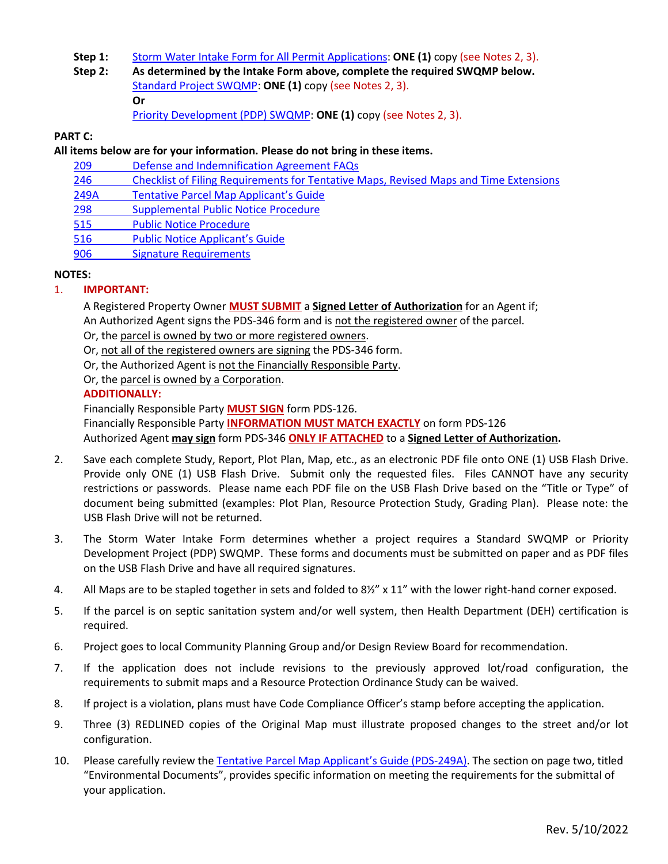- **Step 1:** [Storm Water Intake Form for All Permit Applications:](http://www.sandiegocounty.gov/content/dam/sdc/pds/zoning/formfields/SWQMP-Intake-Form.pdf) **ONE (1)** copy (see Notes 2, 3).
- **Step 2: As determined by the Intake Form above, complete the required SWQMP below.** Standard [Project SWQMP:](http://www.sandiegocounty.gov/content/dam/sdc/pds/zoning/formfields/SWQMP-Standard.pdf) **ONE (1)** copy (see Notes 2, 3). **Or** [Priority Development \(PDP\) SWQMP:](https://www.sandiegocounty.gov/content/sdc/dpw/watersheds/DevelopmentandConstruction/BMP_Design_Manual.html) **ONE (1)** copy (see Notes 2, 3).

### **PART C:**

### **All items below are for your information. Please do not bring in these items.**

- 209 [Defense and Indemnification Agreement FAQs](http://www.sdcounty.ca.gov/pds/zoning/formfields/PDS-PLN-209.pdf)
- [246 Checklist of Filing Requirements for Tentative Maps, Revised Maps and Time Extensions](http://www.sdcounty.ca.gov/pds/zoning/formfields/PDS-PLN-246.pdf)
- 249A [Tentative Parcel Map Applicant's Guide](http://www.sdcounty.ca.gov/pds/zoning/formfields/PDS-PLN-249A.pdf)
- 298 Supplemental [Public Notice Procedure](http://www.sdcounty.ca.gov/pds/zoning/formfields/PDS-PLN-298.pdf)
- 515 [Public Notice Procedure](http://www.sdcounty.ca.gov/pds/zoning/formfields/PDS-PLN-515.pdf)
- 516 [Public Notice Applicant's Guide](http://www.sdcounty.ca.gov/pds/zoning/formfields/PDS-PLN-516.pdf)
- 906 [Signature Requirements](http://www.sdcounty.ca.gov/pds/zoning/formfields/PDS-PLN-906.pdf)

### **NOTES:**

## 1. **IMPORTANT:**

A Registered Property Owner **MUST SUBMIT** a **Signed Letter of Authorization** for an Agent if; An Authorized Agent signs the PDS-346 form and is not the registered owner of the parcel.

Or, the parcel is owned by two or more registered owners.

Or, not all of the registered owners are signing the PDS-346 form.

Or, the Authorized Agent is not the Financially Responsible Party.

Or, the parcel is owned by a Corporation.

### **ADDITIONALLY:**

Financially Responsible Party **MUST SIGN** form PDS-126.

Financially Responsible Party **INFORMATION MUST MATCH EXACTLY** on form PDS-126 Authorized Agent **may sign** form PDS-346 **ONLY IF ATTACHED** to a **Signed Letter of Authorization.** 

- 2. Save each complete Study, Report, Plot Plan, Map, etc., as an electronic PDF file onto ONE (1) USB Flash Drive. Provide only ONE (1) USB Flash Drive. Submit only the requested files. Files CANNOT have any security restrictions or passwords. Please name each PDF file on the USB Flash Drive based on the "Title or Type" of document being submitted (examples: Plot Plan, Resource Protection Study, Grading Plan). Please note: the USB Flash Drive will not be returned.
- 3. The Storm Water Intake Form determines whether a project requires a Standard SWQMP or Priority Development Project (PDP) SWQMP. These forms and documents must be submitted on paper and as PDF files on the USB Flash Drive and have all required signatures.
- 4. All Maps are to be stapled together in sets and folded to 8½" x 11" with the lower right-hand corner exposed.
- 5. If the parcel is on septic sanitation system and/or well system, then Health Department (DEH) certification is required.
- 6. Project goes to local Community Planning Group and/or Design Review Board for recommendation.
- 7. If the application does not include revisions to the previously approved lot/road configuration, the requirements to submit maps and a Resource Protection Ordinance Study can be waived.
- 8. If project is a violation, plans must have Code Compliance Officer's stamp before accepting the application.
- 9. Three (3) REDLINED copies of the Original Map must illustrate proposed changes to the street and/or lot configuration.
- 10. Please carefully review th[e Tentative Parcel Map Applicant's Guide \(PDS-249A\).](http://www.sdcounty.ca.gov/pds/zoning/formfields/PDS-PLN-249A.pdf) The section on page two, titled "Environmental Documents", provides specific information on meeting the requirements for the submittal of your application.